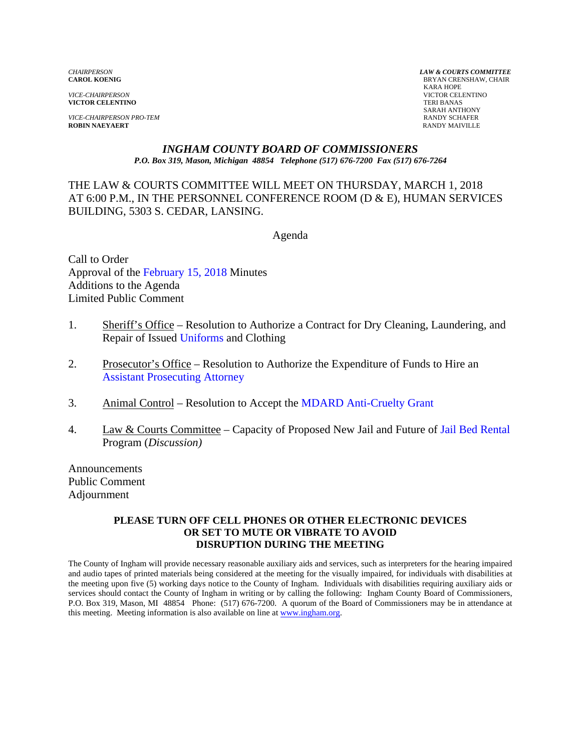*VICE-CHAIRPERSON* VICTOR CELENTINO **VICTOR CELENTINO** 

*VICE-CHAIRPERSON PRO-TEM* RANDY SCHAFER **ROBIN NAEYAERT** 

*CHAIRPERSON LAW & COURTS COMMITTEE* **BRYAN CRENSHAW, CHAIR**  KARA HOPE SARAH ANTHONY

#### *INGHAM COUNTY BOARD OF COMMISSIONERS P.O. Box 319, Mason, Michigan 48854 Telephone (517) 676-7200 Fax (517) 676-7264*

THE LAW & COURTS COMMITTEE WILL MEET ON THURSDAY, MARCH 1, 2018 AT 6:00 P.M., IN THE PERSONNEL CONFERENCE ROOM (D & E), HUMAN SERVICES BUILDING, 5303 S. CEDAR, LANSING.

Agenda

Call to Order Approval [of the February 15, 2018 Minutes](#page-1-0)  Additions to the Agenda Limited Public Comment

- 1. Sheriff's Office Resolution to Authorize a Contract for Dry Cleaning, Laundering, and Repair of Iss[ued Uniforms](#page-12-0) and Clothing
- 2. Prosecutor's Office Resolution to Authorize the Expenditure of Funds to Hire an [Assistant Prosecuting Attorney](#page-17-0)
- 3. Animal Control Resolution to Accept t[he MDARD Anti-Cruelty Grant](#page-19-0)
- 4. Law & Courts Committee Capacity of Proposed New Jail and Future [of Jail Bed Rental](#page-21-0) Program (*Discussion)*

Announcements Public Comment Adjournment

#### **PLEASE TURN OFF CELL PHONES OR OTHER ELECTRONIC DEVICES OR SET TO MUTE OR VIBRATE TO AVOID DISRUPTION DURING THE MEETING**

The County of Ingham will provide necessary reasonable auxiliary aids and services, such as interpreters for the hearing impaired and audio tapes of printed materials being considered at the meeting for the visually impaired, for individuals with disabilities at the meeting upon five (5) working days notice to the County of Ingham. Individuals with disabilities requiring auxiliary aids or services should contact the County of Ingham in writing or by calling the following: Ingham County Board of Commissioners, P.O. Box 319, Mason, MI 48854 Phone: (517) 676-7200. A quorum of the Board of Commissioners may be in attendance at this meeting. Meeting information is also available on line at www.ingham.org.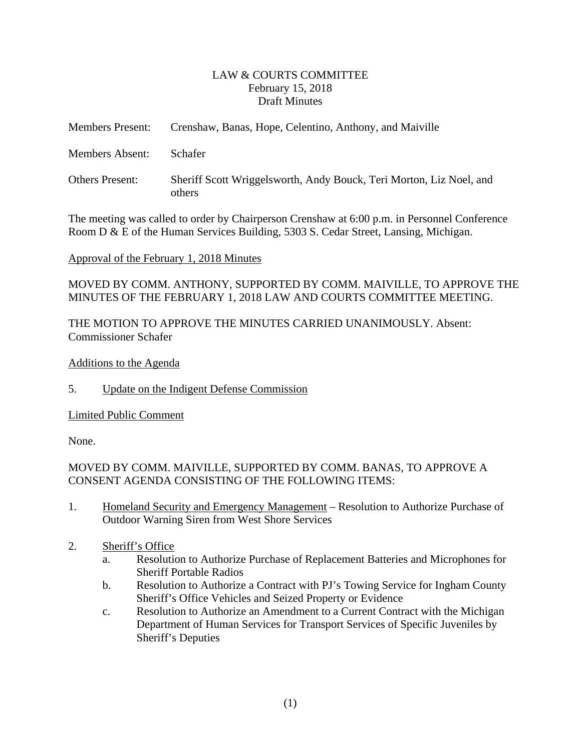### LAW & COURTS COMMITTEE February 15, 2018 Draft Minutes

<span id="page-1-0"></span>

| <b>Members Present:</b> | Crenshaw, Banas, Hope, Celentino, Anthony, and Maiville                       |
|-------------------------|-------------------------------------------------------------------------------|
| Members Absent:         | <b>Schafer</b>                                                                |
| <b>Others Present:</b>  | Sheriff Scott Wriggelsworth, Andy Bouck, Teri Morton, Liz Noel, and<br>others |

The meeting was called to order by Chairperson Crenshaw at 6:00 p.m. in Personnel Conference Room D & E of the Human Services Building, 5303 S. Cedar Street, Lansing, Michigan.

## Approval of the February 1, 2018 Minutes

MOVED BY COMM. ANTHONY, SUPPORTED BY COMM. MAIVILLE, TO APPROVE THE MINUTES OF THE FEBRUARY 1, 2018 LAW AND COURTS COMMITTEE MEETING.

THE MOTION TO APPROVE THE MINUTES CARRIED UNANIMOUSLY. Absent: Commissioner Schafer

#### Additions to the Agenda

5. Update on the Indigent Defense Commission

Limited Public Comment

None.

MOVED BY COMM. MAIVILLE, SUPPORTED BY COMM. BANAS, TO APPROVE A CONSENT AGENDA CONSISTING OF THE FOLLOWING ITEMS:

- 1. Homeland Security and Emergency Management Resolution to Authorize Purchase of Outdoor Warning Siren from West Shore Services
- 2. Sheriff's Office
	- a. Resolution to Authorize Purchase of Replacement Batteries and Microphones for Sheriff Portable Radios
	- b. Resolution to Authorize a Contract with PJ's Towing Service for Ingham County Sheriff's Office Vehicles and Seized Property or Evidence
	- c. Resolution to Authorize an Amendment to a Current Contract with the Michigan Department of Human Services for Transport Services of Specific Juveniles by Sheriff's Deputies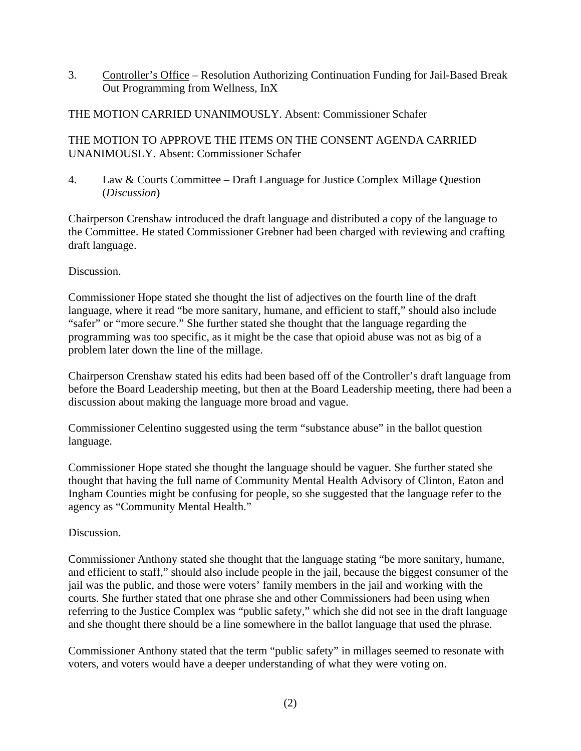3. Controller's Office – Resolution Authorizing Continuation Funding for Jail-Based Break Out Programming from Wellness, InX

# THE MOTION CARRIED UNANIMOUSLY. Absent: Commissioner Schafer

THE MOTION TO APPROVE THE ITEMS ON THE CONSENT AGENDA CARRIED UNANIMOUSLY. Absent: Commissioner Schafer

4. Law & Courts Committee – Draft Language for Justice Complex Millage Question (*Discussion*)

Chairperson Crenshaw introduced the draft language and distributed a copy of the language to the Committee. He stated Commissioner Grebner had been charged with reviewing and crafting draft language.

# Discussion.

Commissioner Hope stated she thought the list of adjectives on the fourth line of the draft language, where it read "be more sanitary, humane, and efficient to staff," should also include "safer" or "more secure." She further stated she thought that the language regarding the programming was too specific, as it might be the case that opioid abuse was not as big of a problem later down the line of the millage.

Chairperson Crenshaw stated his edits had been based off of the Controller's draft language from before the Board Leadership meeting, but then at the Board Leadership meeting, there had been a discussion about making the language more broad and vague.

Commissioner Celentino suggested using the term "substance abuse" in the ballot question language.

Commissioner Hope stated she thought the language should be vaguer. She further stated she thought that having the full name of Community Mental Health Advisory of Clinton, Eaton and Ingham Counties might be confusing for people, so she suggested that the language refer to the agency as "Community Mental Health."

# Discussion.

Commissioner Anthony stated she thought that the language stating "be more sanitary, humane, and efficient to staff," should also include people in the jail, because the biggest consumer of the jail was the public, and those were voters' family members in the jail and working with the courts. She further stated that one phrase she and other Commissioners had been using when referring to the Justice Complex was "public safety," which she did not see in the draft language and she thought there should be a line somewhere in the ballot language that used the phrase.

Commissioner Anthony stated that the term "public safety" in millages seemed to resonate with voters, and voters would have a deeper understanding of what they were voting on.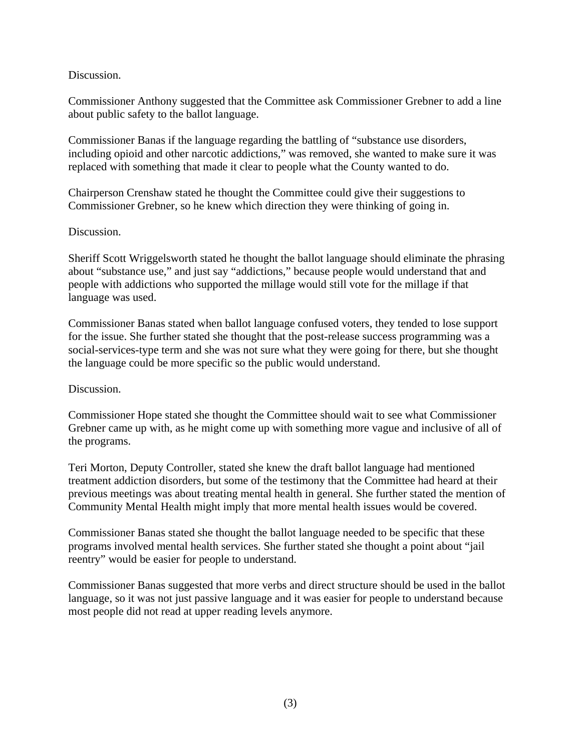# Discussion.

Commissioner Anthony suggested that the Committee ask Commissioner Grebner to add a line about public safety to the ballot language.

Commissioner Banas if the language regarding the battling of "substance use disorders, including opioid and other narcotic addictions," was removed, she wanted to make sure it was replaced with something that made it clear to people what the County wanted to do.

Chairperson Crenshaw stated he thought the Committee could give their suggestions to Commissioner Grebner, so he knew which direction they were thinking of going in.

#### Discussion.

Sheriff Scott Wriggelsworth stated he thought the ballot language should eliminate the phrasing about "substance use," and just say "addictions," because people would understand that and people with addictions who supported the millage would still vote for the millage if that language was used.

Commissioner Banas stated when ballot language confused voters, they tended to lose support for the issue. She further stated she thought that the post-release success programming was a social-services-type term and she was not sure what they were going for there, but she thought the language could be more specific so the public would understand.

#### Discussion.

Commissioner Hope stated she thought the Committee should wait to see what Commissioner Grebner came up with, as he might come up with something more vague and inclusive of all of the programs.

Teri Morton, Deputy Controller, stated she knew the draft ballot language had mentioned treatment addiction disorders, but some of the testimony that the Committee had heard at their previous meetings was about treating mental health in general. She further stated the mention of Community Mental Health might imply that more mental health issues would be covered.

Commissioner Banas stated she thought the ballot language needed to be specific that these programs involved mental health services. She further stated she thought a point about "jail reentry" would be easier for people to understand.

Commissioner Banas suggested that more verbs and direct structure should be used in the ballot language, so it was not just passive language and it was easier for people to understand because most people did not read at upper reading levels anymore.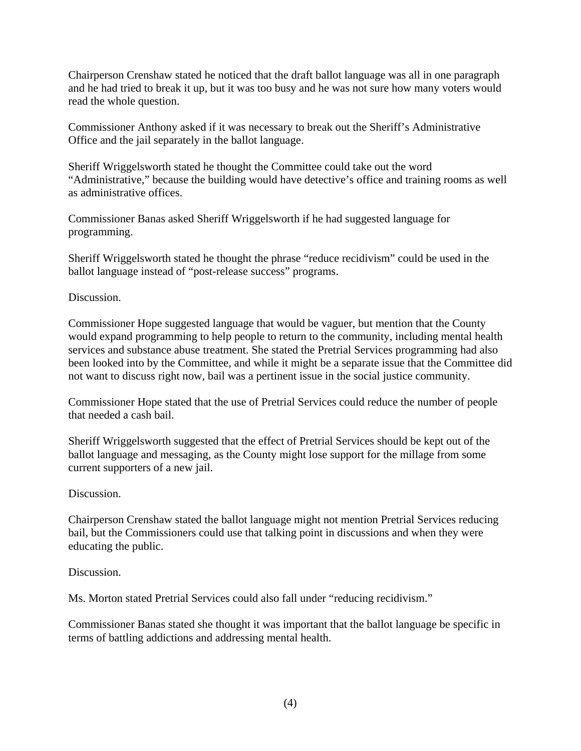Chairperson Crenshaw stated he noticed that the draft ballot language was all in one paragraph and he had tried to break it up, but it was too busy and he was not sure how many voters would read the whole question.

Commissioner Anthony asked if it was necessary to break out the Sheriff's Administrative Office and the jail separately in the ballot language.

Sheriff Wriggelsworth stated he thought the Committee could take out the word "Administrative," because the building would have detective's office and training rooms as well as administrative offices.

Commissioner Banas asked Sheriff Wriggelsworth if he had suggested language for programming.

Sheriff Wriggelsworth stated he thought the phrase "reduce recidivism" could be used in the ballot language instead of "post-release success" programs.

Discussion.

Commissioner Hope suggested language that would be vaguer, but mention that the County would expand programming to help people to return to the community, including mental health services and substance abuse treatment. She stated the Pretrial Services programming had also been looked into by the Committee, and while it might be a separate issue that the Committee did not want to discuss right now, bail was a pertinent issue in the social justice community.

Commissioner Hope stated that the use of Pretrial Services could reduce the number of people that needed a cash bail.

Sheriff Wriggelsworth suggested that the effect of Pretrial Services should be kept out of the ballot language and messaging, as the County might lose support for the millage from some current supporters of a new jail.

Discussion.

Chairperson Crenshaw stated the ballot language might not mention Pretrial Services reducing bail, but the Commissioners could use that talking point in discussions and when they were educating the public.

Discussion.

Ms. Morton stated Pretrial Services could also fall under "reducing recidivism."

Commissioner Banas stated she thought it was important that the ballot language be specific in terms of battling addictions and addressing mental health.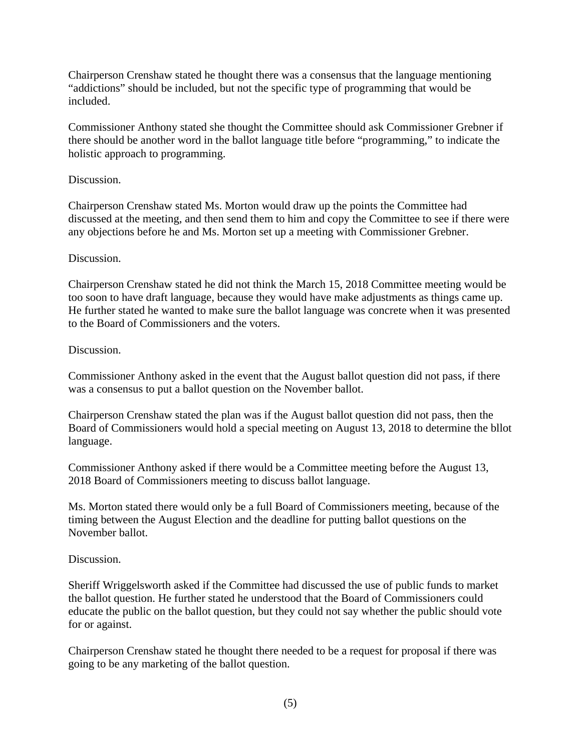Chairperson Crenshaw stated he thought there was a consensus that the language mentioning "addictions" should be included, but not the specific type of programming that would be included.

Commissioner Anthony stated she thought the Committee should ask Commissioner Grebner if there should be another word in the ballot language title before "programming," to indicate the holistic approach to programming.

### Discussion.

Chairperson Crenshaw stated Ms. Morton would draw up the points the Committee had discussed at the meeting, and then send them to him and copy the Committee to see if there were any objections before he and Ms. Morton set up a meeting with Commissioner Grebner.

## Discussion.

Chairperson Crenshaw stated he did not think the March 15, 2018 Committee meeting would be too soon to have draft language, because they would have make adjustments as things came up. He further stated he wanted to make sure the ballot language was concrete when it was presented to the Board of Commissioners and the voters.

## Discussion.

Commissioner Anthony asked in the event that the August ballot question did not pass, if there was a consensus to put a ballot question on the November ballot.

Chairperson Crenshaw stated the plan was if the August ballot question did not pass, then the Board of Commissioners would hold a special meeting on August 13, 2018 to determine the bllot language.

Commissioner Anthony asked if there would be a Committee meeting before the August 13, 2018 Board of Commissioners meeting to discuss ballot language.

Ms. Morton stated there would only be a full Board of Commissioners meeting, because of the timing between the August Election and the deadline for putting ballot questions on the November ballot.

# Discussion.

Sheriff Wriggelsworth asked if the Committee had discussed the use of public funds to market the ballot question. He further stated he understood that the Board of Commissioners could educate the public on the ballot question, but they could not say whether the public should vote for or against.

Chairperson Crenshaw stated he thought there needed to be a request for proposal if there was going to be any marketing of the ballot question.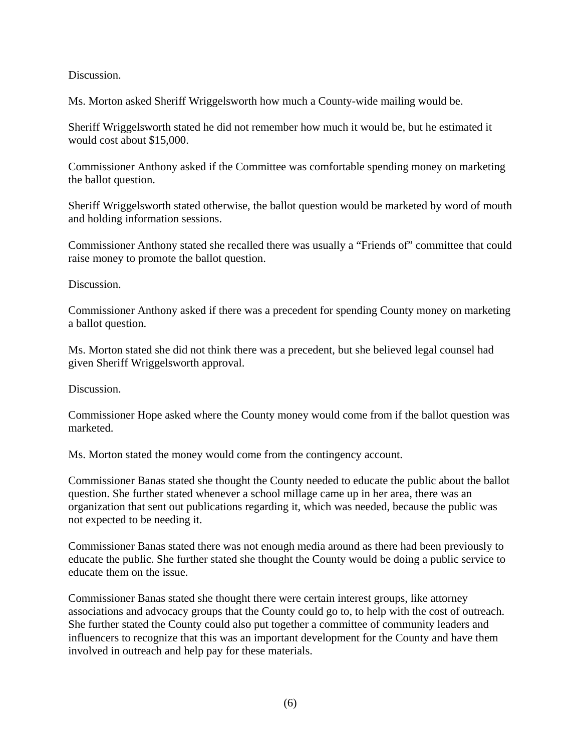# Discussion.

Ms. Morton asked Sheriff Wriggelsworth how much a County-wide mailing would be.

Sheriff Wriggelsworth stated he did not remember how much it would be, but he estimated it would cost about \$15,000.

Commissioner Anthony asked if the Committee was comfortable spending money on marketing the ballot question.

Sheriff Wriggelsworth stated otherwise, the ballot question would be marketed by word of mouth and holding information sessions.

Commissioner Anthony stated she recalled there was usually a "Friends of" committee that could raise money to promote the ballot question.

Discussion.

Commissioner Anthony asked if there was a precedent for spending County money on marketing a ballot question.

Ms. Morton stated she did not think there was a precedent, but she believed legal counsel had given Sheriff Wriggelsworth approval.

Discussion.

Commissioner Hope asked where the County money would come from if the ballot question was marketed.

Ms. Morton stated the money would come from the contingency account.

Commissioner Banas stated she thought the County needed to educate the public about the ballot question. She further stated whenever a school millage came up in her area, there was an organization that sent out publications regarding it, which was needed, because the public was not expected to be needing it.

Commissioner Banas stated there was not enough media around as there had been previously to educate the public. She further stated she thought the County would be doing a public service to educate them on the issue.

Commissioner Banas stated she thought there were certain interest groups, like attorney associations and advocacy groups that the County could go to, to help with the cost of outreach. She further stated the County could also put together a committee of community leaders and influencers to recognize that this was an important development for the County and have them involved in outreach and help pay for these materials.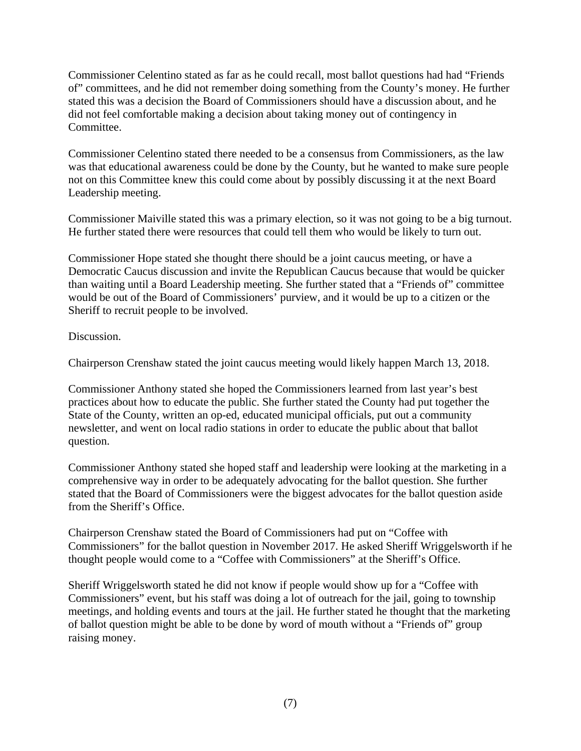Commissioner Celentino stated as far as he could recall, most ballot questions had had "Friends of" committees, and he did not remember doing something from the County's money. He further stated this was a decision the Board of Commissioners should have a discussion about, and he did not feel comfortable making a decision about taking money out of contingency in Committee.

Commissioner Celentino stated there needed to be a consensus from Commissioners, as the law was that educational awareness could be done by the County, but he wanted to make sure people not on this Committee knew this could come about by possibly discussing it at the next Board Leadership meeting.

Commissioner Maiville stated this was a primary election, so it was not going to be a big turnout. He further stated there were resources that could tell them who would be likely to turn out.

Commissioner Hope stated she thought there should be a joint caucus meeting, or have a Democratic Caucus discussion and invite the Republican Caucus because that would be quicker than waiting until a Board Leadership meeting. She further stated that a "Friends of" committee would be out of the Board of Commissioners' purview, and it would be up to a citizen or the Sheriff to recruit people to be involved.

Discussion.

Chairperson Crenshaw stated the joint caucus meeting would likely happen March 13, 2018.

Commissioner Anthony stated she hoped the Commissioners learned from last year's best practices about how to educate the public. She further stated the County had put together the State of the County, written an op-ed, educated municipal officials, put out a community newsletter, and went on local radio stations in order to educate the public about that ballot question.

Commissioner Anthony stated she hoped staff and leadership were looking at the marketing in a comprehensive way in order to be adequately advocating for the ballot question. She further stated that the Board of Commissioners were the biggest advocates for the ballot question aside from the Sheriff's Office.

Chairperson Crenshaw stated the Board of Commissioners had put on "Coffee with Commissioners" for the ballot question in November 2017. He asked Sheriff Wriggelsworth if he thought people would come to a "Coffee with Commissioners" at the Sheriff's Office.

Sheriff Wriggelsworth stated he did not know if people would show up for a "Coffee with Commissioners" event, but his staff was doing a lot of outreach for the jail, going to township meetings, and holding events and tours at the jail. He further stated he thought that the marketing of ballot question might be able to be done by word of mouth without a "Friends of" group raising money.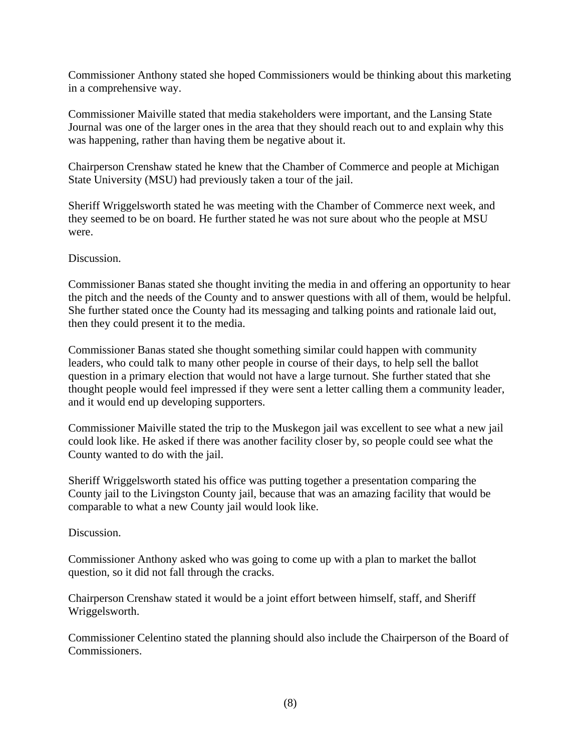Commissioner Anthony stated she hoped Commissioners would be thinking about this marketing in a comprehensive way.

Commissioner Maiville stated that media stakeholders were important, and the Lansing State Journal was one of the larger ones in the area that they should reach out to and explain why this was happening, rather than having them be negative about it.

Chairperson Crenshaw stated he knew that the Chamber of Commerce and people at Michigan State University (MSU) had previously taken a tour of the jail.

Sheriff Wriggelsworth stated he was meeting with the Chamber of Commerce next week, and they seemed to be on board. He further stated he was not sure about who the people at MSU were.

Discussion.

Commissioner Banas stated she thought inviting the media in and offering an opportunity to hear the pitch and the needs of the County and to answer questions with all of them, would be helpful. She further stated once the County had its messaging and talking points and rationale laid out, then they could present it to the media.

Commissioner Banas stated she thought something similar could happen with community leaders, who could talk to many other people in course of their days, to help sell the ballot question in a primary election that would not have a large turnout. She further stated that she thought people would feel impressed if they were sent a letter calling them a community leader, and it would end up developing supporters.

Commissioner Maiville stated the trip to the Muskegon jail was excellent to see what a new jail could look like. He asked if there was another facility closer by, so people could see what the County wanted to do with the jail.

Sheriff Wriggelsworth stated his office was putting together a presentation comparing the County jail to the Livingston County jail, because that was an amazing facility that would be comparable to what a new County jail would look like.

Discussion.

Commissioner Anthony asked who was going to come up with a plan to market the ballot question, so it did not fall through the cracks.

Chairperson Crenshaw stated it would be a joint effort between himself, staff, and Sheriff Wriggelsworth.

Commissioner Celentino stated the planning should also include the Chairperson of the Board of Commissioners.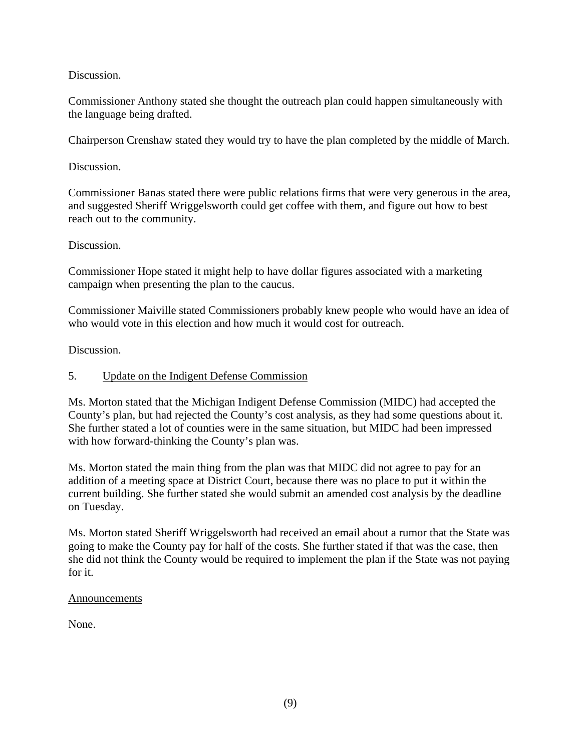Discussion.

Commissioner Anthony stated she thought the outreach plan could happen simultaneously with the language being drafted.

Chairperson Crenshaw stated they would try to have the plan completed by the middle of March.

Discussion.

Commissioner Banas stated there were public relations firms that were very generous in the area, and suggested Sheriff Wriggelsworth could get coffee with them, and figure out how to best reach out to the community.

# Discussion.

Commissioner Hope stated it might help to have dollar figures associated with a marketing campaign when presenting the plan to the caucus.

Commissioner Maiville stated Commissioners probably knew people who would have an idea of who would vote in this election and how much it would cost for outreach.

Discussion.

# 5. Update on the Indigent Defense Commission

Ms. Morton stated that the Michigan Indigent Defense Commission (MIDC) had accepted the County's plan, but had rejected the County's cost analysis, as they had some questions about it. She further stated a lot of counties were in the same situation, but MIDC had been impressed with how forward-thinking the County's plan was.

Ms. Morton stated the main thing from the plan was that MIDC did not agree to pay for an addition of a meeting space at District Court, because there was no place to put it within the current building. She further stated she would submit an amended cost analysis by the deadline on Tuesday.

Ms. Morton stated Sheriff Wriggelsworth had received an email about a rumor that the State was going to make the County pay for half of the costs. She further stated if that was the case, then she did not think the County would be required to implement the plan if the State was not paying for it.

# Announcements

None.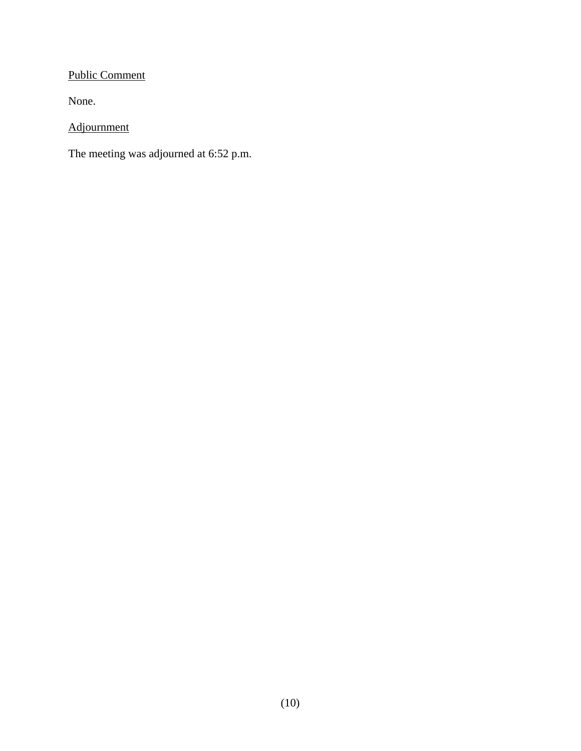# Public Comment

None.

Adjournment

The meeting was adjourned at 6:52 p.m.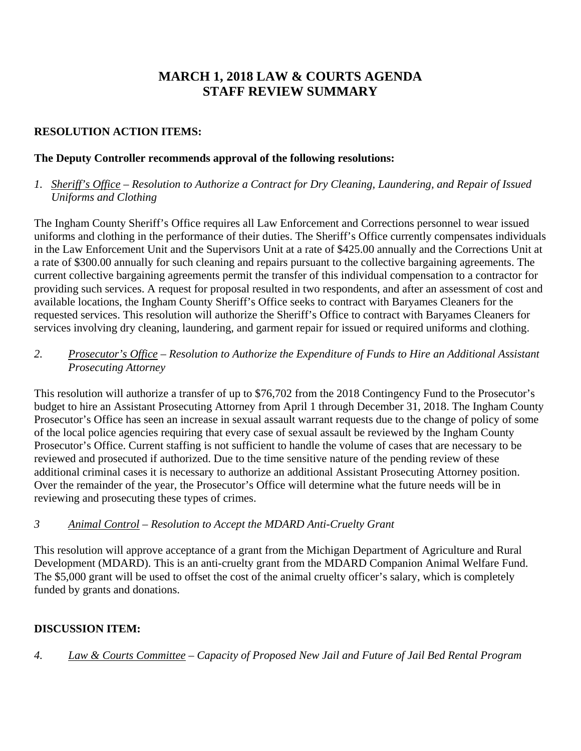# **MARCH 1, 2018 LAW & COURTS AGENDA STAFF REVIEW SUMMARY**

# **RESOLUTION ACTION ITEMS:**

# **The Deputy Controller recommends approval of the following resolutions:**

*1. Sheriff's Office – Resolution to Authorize a Contract for Dry Cleaning, Laundering, and Repair of Issued Uniforms and Clothing* 

The Ingham County Sheriff's Office requires all Law Enforcement and Corrections personnel to wear issued uniforms and clothing in the performance of their duties. The Sheriff's Office currently compensates individuals in the Law Enforcement Unit and the Supervisors Unit at a rate of \$425.00 annually and the Corrections Unit at a rate of \$300.00 annually for such cleaning and repairs pursuant to the collective bargaining agreements. The current collective bargaining agreements permit the transfer of this individual compensation to a contractor for providing such services. A request for proposal resulted in two respondents, and after an assessment of cost and available locations, the Ingham County Sheriff's Office seeks to contract with Baryames Cleaners for the requested services. This resolution will authorize the Sheriff's Office to contract with Baryames Cleaners for services involving dry cleaning, laundering, and garment repair for issued or required uniforms and clothing.

# *2. Prosecutor's Office – Resolution to Authorize the Expenditure of Funds to Hire an Additional Assistant Prosecuting Attorney*

This resolution will authorize a transfer of up to \$76,702 from the 2018 Contingency Fund to the Prosecutor's budget to hire an Assistant Prosecuting Attorney from April 1 through December 31, 2018. The Ingham County Prosecutor's Office has seen an increase in sexual assault warrant requests due to the change of policy of some of the local police agencies requiring that every case of sexual assault be reviewed by the Ingham County Prosecutor's Office. Current staffing is not sufficient to handle the volume of cases that are necessary to be reviewed and prosecuted if authorized. Due to the time sensitive nature of the pending review of these additional criminal cases it is necessary to authorize an additional Assistant Prosecuting Attorney position. Over the remainder of the year, the Prosecutor's Office will determine what the future needs will be in reviewing and prosecuting these types of crimes.

# *3 Animal Control – Resolution to Accept the MDARD Anti-Cruelty Grant*

This resolution will approve acceptance of a grant from the Michigan Department of Agriculture and Rural Development (MDARD). This is an anti-cruelty grant from the MDARD Companion Animal Welfare Fund. The \$5,000 grant will be used to offset the cost of the animal cruelty officer's salary, which is completely funded by grants and donations.

# **DISCUSSION ITEM:**

*4. Law & Courts Committee – Capacity of Proposed New Jail and Future of Jail Bed Rental Program*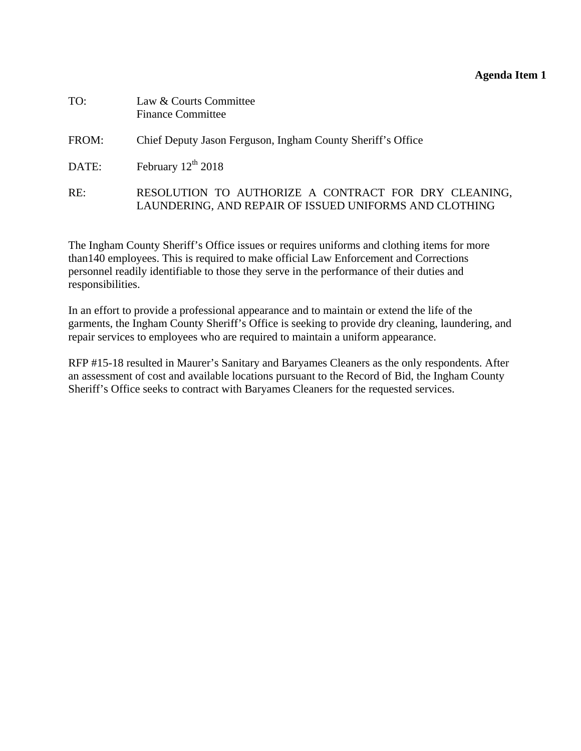<span id="page-12-0"></span>

| TO:   | Law & Courts Committee<br><b>Finance Committee</b>                                                             |
|-------|----------------------------------------------------------------------------------------------------------------|
| FROM: | Chief Deputy Jason Ferguson, Ingham County Sheriff's Office                                                    |
| DATE: | February $12^{th}$ 2018                                                                                        |
| RE:   | RESOLUTION TO AUTHORIZE A CONTRACT FOR DRY CLEANING,<br>LAUNDERING, AND REPAIR OF ISSUED UNIFORMS AND CLOTHING |

The Ingham County Sheriff's Office issues or requires uniforms and clothing items for more than140 employees. This is required to make official Law Enforcement and Corrections personnel readily identifiable to those they serve in the performance of their duties and responsibilities.

In an effort to provide a professional appearance and to maintain or extend the life of the garments, the Ingham County Sheriff's Office is seeking to provide dry cleaning, laundering, and repair services to employees who are required to maintain a uniform appearance.

RFP #15-18 resulted in Maurer's Sanitary and Baryames Cleaners as the only respondents. After an assessment of cost and available locations pursuant to the Record of Bid, the Ingham County Sheriff's Office seeks to contract with Baryames Cleaners for the requested services.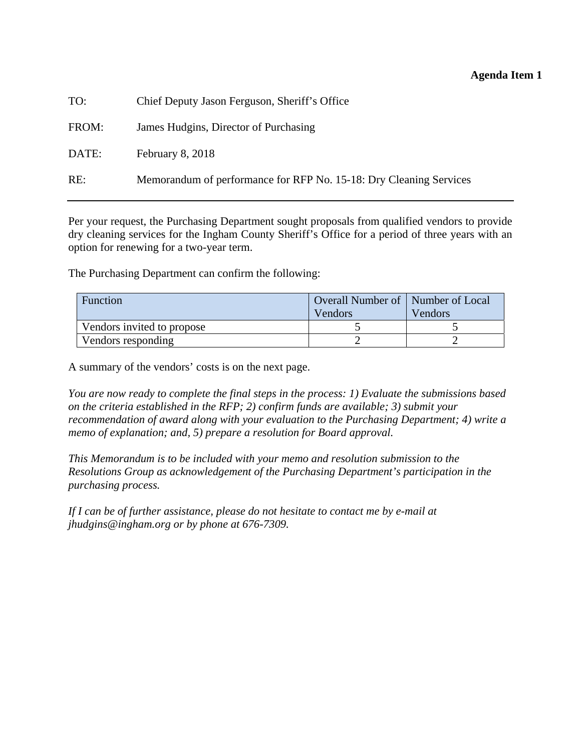| TO:   | Chief Deputy Jason Ferguson, Sheriff's Office                      |
|-------|--------------------------------------------------------------------|
| FROM: | James Hudgins, Director of Purchasing                              |
| DATE: | February 8, 2018                                                   |
| RE:   | Memorandum of performance for RFP No. 15-18: Dry Cleaning Services |

Per your request, the Purchasing Department sought proposals from qualified vendors to provide dry cleaning services for the Ingham County Sheriff's Office for a period of three years with an option for renewing for a two-year term.

The Purchasing Department can confirm the following:

| Function                   | Overall Number of   Number of Local<br><b>Vendors</b> | Vendors |
|----------------------------|-------------------------------------------------------|---------|
| Vendors invited to propose |                                                       |         |
| Vendors responding         |                                                       |         |

A summary of the vendors' costs is on the next page.

*You are now ready to complete the final steps in the process: 1) Evaluate the submissions based on the criteria established in the RFP; 2) confirm funds are available; 3) submit your recommendation of award along with your evaluation to the Purchasing Department; 4) write a memo of explanation; and, 5) prepare a resolution for Board approval.* 

*This Memorandum is to be included with your memo and resolution submission to the Resolutions Group as acknowledgement of the Purchasing Department's participation in the purchasing process.* 

*If I can be of further assistance, please do not hesitate to contact me by e-mail at jhudgins@ingham.org or by phone at 676-7309.*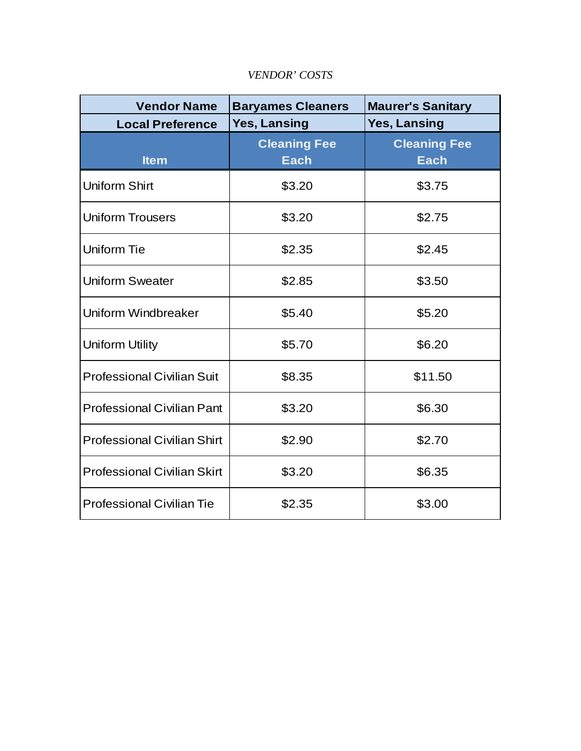| <b>Vendor Name</b>                 | <b>Baryames Cleaners</b> | <b>Maurer's Sanitary</b> |
|------------------------------------|--------------------------|--------------------------|
| <b>Local Preference</b>            | <b>Yes, Lansing</b>      | <b>Yes, Lansing</b>      |
|                                    | <b>Cleaning Fee</b>      | <b>Cleaning Fee</b>      |
| <b>Item</b>                        | <b>Each</b>              | <b>Each</b>              |
| <b>Uniform Shirt</b>               | \$3.20                   | \$3.75                   |
| <b>Uniform Trousers</b>            | \$3.20                   | \$2.75                   |
| <b>Uniform Tie</b>                 | \$2.35                   | \$2.45                   |
| <b>Uniform Sweater</b>             | \$2.85                   | \$3.50                   |
| Uniform Windbreaker                | \$5.40                   | \$5.20                   |
| <b>Uniform Utility</b>             | \$5.70                   | \$6.20                   |
| <b>Professional Civilian Suit</b>  | \$8.35                   | \$11.50                  |
| <b>Professional Civilian Pant</b>  | \$3.20                   | \$6.30                   |
| <b>Professional Civilian Shirt</b> | \$2.90                   | \$2.70                   |
| <b>Professional Civilian Skirt</b> | \$3.20                   | \$6.35                   |
| <b>Professional Civilian Tie</b>   | \$2.35                   | \$3.00                   |

# *VENDOR' COSTS*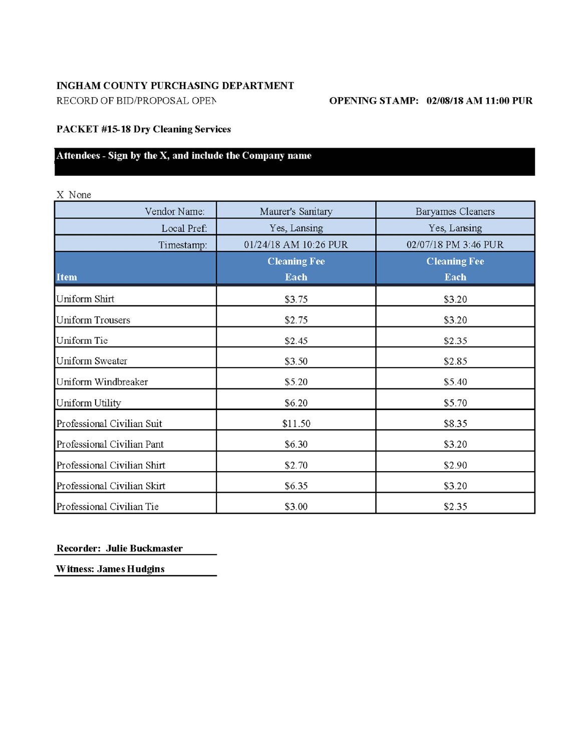### INGHAM COUNTY PURCHASING DEPARTMENT

RECORD OF BID/PROPOSAL OPEN

#### **OPENING STAMP: 02/08/18 AM 11:00 PUR**

# PACKET #15-18 Dry Cleaning Services

# Attendees - Sign by the X, and include the Company name

X None

| Vendor Name:                | Maurer's Sanitary     | <b>Baryames Cleaners</b> |
|-----------------------------|-----------------------|--------------------------|
| Local Pref:                 | Yes, Lansing          | Yes, Lansing             |
| Timestamp:                  | 01/24/18 AM 10:26 PUR | 02/07/18 PM 3:46 PUR     |
|                             | <b>Cleaning Fee</b>   | <b>Cleaning Fee</b>      |
| <b>Item</b>                 | Each                  | Each                     |
| Uniform Shirt               | \$3.75                | \$3.20                   |
| <b>Uniform Trousers</b>     | \$2.75                | \$3.20                   |
| Uniform Tie                 | \$2.45                | \$2.35                   |
| Uniform Sweater             | \$3.50                | \$2.85                   |
| Uniform Windbreaker         | \$5.20                | \$5.40                   |
| Uniform Utility             | \$6.20                | \$5.70                   |
| Professional Civilian Suit  | \$11.50               | \$8.35                   |
| Professional Civilian Pant  | \$6.30                | \$3.20                   |
| Professional Civilian Shirt | \$2.70                | \$2.90                   |
| Professional Civilian Skirt | \$6.35                | \$3.20                   |
| Professional Civilian Tie   | \$3.00                | \$2.35                   |

#### **Recorder: Julie Buckmaster**

**Witness: James Hudgins**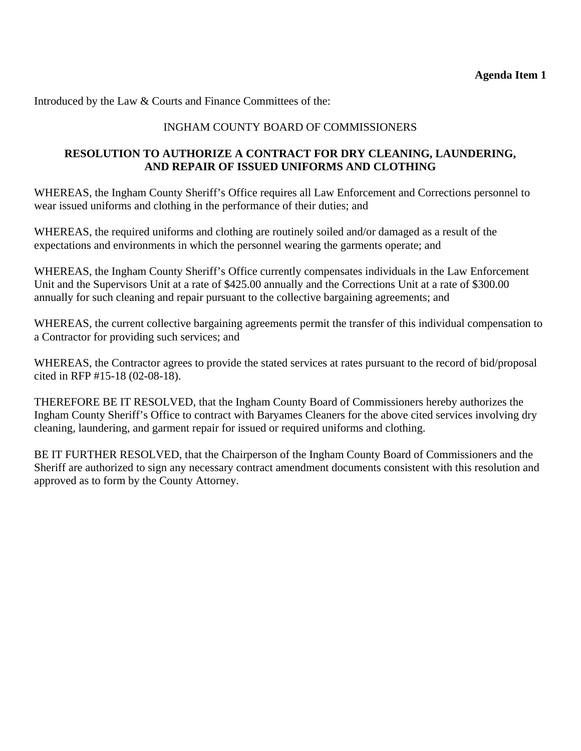Introduced by the Law & Courts and Finance Committees of the:

# INGHAM COUNTY BOARD OF COMMISSIONERS

# **RESOLUTION TO AUTHORIZE A CONTRACT FOR DRY CLEANING, LAUNDERING, AND REPAIR OF ISSUED UNIFORMS AND CLOTHING**

WHEREAS, the Ingham County Sheriff's Office requires all Law Enforcement and Corrections personnel to wear issued uniforms and clothing in the performance of their duties; and

WHEREAS, the required uniforms and clothing are routinely soiled and/or damaged as a result of the expectations and environments in which the personnel wearing the garments operate; and

WHEREAS, the Ingham County Sheriff's Office currently compensates individuals in the Law Enforcement Unit and the Supervisors Unit at a rate of \$425.00 annually and the Corrections Unit at a rate of \$300.00 annually for such cleaning and repair pursuant to the collective bargaining agreements; and

WHEREAS, the current collective bargaining agreements permit the transfer of this individual compensation to a Contractor for providing such services; and

WHEREAS, the Contractor agrees to provide the stated services at rates pursuant to the record of bid/proposal cited in RFP #15-18 (02-08-18).

THEREFORE BE IT RESOLVED, that the Ingham County Board of Commissioners hereby authorizes the Ingham County Sheriff's Office to contract with Baryames Cleaners for the above cited services involving dry cleaning, laundering, and garment repair for issued or required uniforms and clothing.

BE IT FURTHER RESOLVED, that the Chairperson of the Ingham County Board of Commissioners and the Sheriff are authorized to sign any necessary contract amendment documents consistent with this resolution and approved as to form by the County Attorney.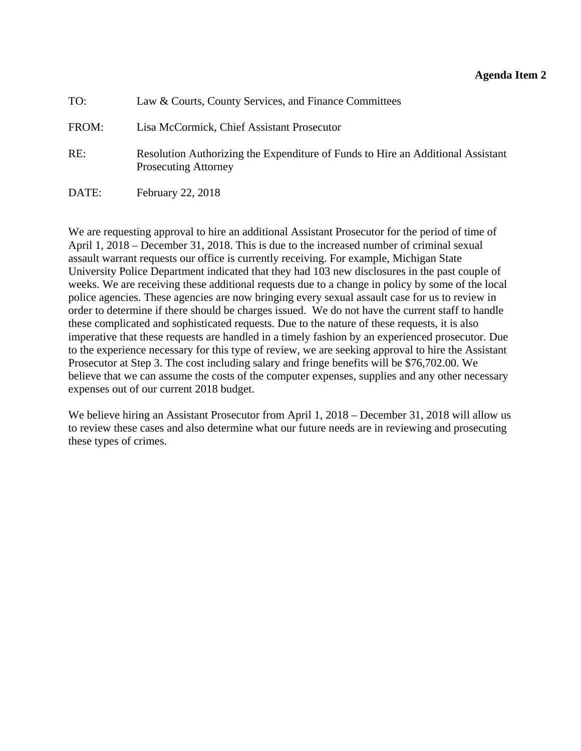<span id="page-17-0"></span>

| TO:   | Law & Courts, County Services, and Finance Committees                                                          |
|-------|----------------------------------------------------------------------------------------------------------------|
| FROM: | Lisa McCormick, Chief Assistant Prosecutor                                                                     |
| RE:   | Resolution Authorizing the Expenditure of Funds to Hire an Additional Assistant<br><b>Prosecuting Attorney</b> |
| DATE: | February 22, 2018                                                                                              |

We are requesting approval to hire an additional Assistant Prosecutor for the period of time of April 1, 2018 – December 31, 2018. This is due to the increased number of criminal sexual assault warrant requests our office is currently receiving. For example, Michigan State University Police Department indicated that they had 103 new disclosures in the past couple of weeks. We are receiving these additional requests due to a change in policy by some of the local police agencies. These agencies are now bringing every sexual assault case for us to review in order to determine if there should be charges issued. We do not have the current staff to handle these complicated and sophisticated requests. Due to the nature of these requests, it is also imperative that these requests are handled in a timely fashion by an experienced prosecutor. Due to the experience necessary for this type of review, we are seeking approval to hire the Assistant Prosecutor at Step 3. The cost including salary and fringe benefits will be \$76,702.00. We believe that we can assume the costs of the computer expenses, supplies and any other necessary expenses out of our current 2018 budget.

We believe hiring an Assistant Prosecutor from April 1, 2018 – December 31, 2018 will allow us to review these cases and also determine what our future needs are in reviewing and prosecuting these types of crimes.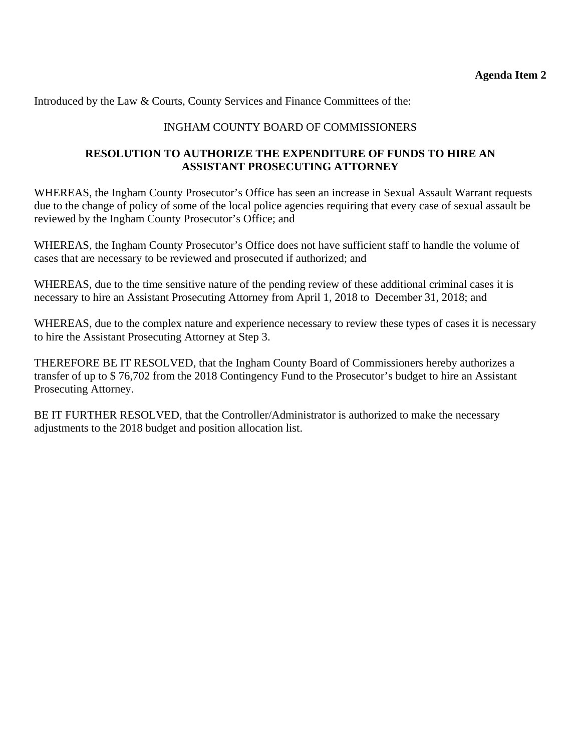Introduced by the Law & Courts, County Services and Finance Committees of the:

# INGHAM COUNTY BOARD OF COMMISSIONERS

# **RESOLUTION TO AUTHORIZE THE EXPENDITURE OF FUNDS TO HIRE AN ASSISTANT PROSECUTING ATTORNEY**

WHEREAS, the Ingham County Prosecutor's Office has seen an increase in Sexual Assault Warrant requests due to the change of policy of some of the local police agencies requiring that every case of sexual assault be reviewed by the Ingham County Prosecutor's Office; and

WHEREAS, the Ingham County Prosecutor's Office does not have sufficient staff to handle the volume of cases that are necessary to be reviewed and prosecuted if authorized; and

WHEREAS, due to the time sensitive nature of the pending review of these additional criminal cases it is necessary to hire an Assistant Prosecuting Attorney from April 1, 2018 to December 31, 2018; and

WHEREAS, due to the complex nature and experience necessary to review these types of cases it is necessary to hire the Assistant Prosecuting Attorney at Step 3.

THEREFORE BE IT RESOLVED, that the Ingham County Board of Commissioners hereby authorizes a transfer of up to \$ 76,702 from the 2018 Contingency Fund to the Prosecutor's budget to hire an Assistant Prosecuting Attorney.

BE IT FURTHER RESOLVED, that the Controller/Administrator is authorized to make the necessary adjustments to the 2018 budget and position allocation list.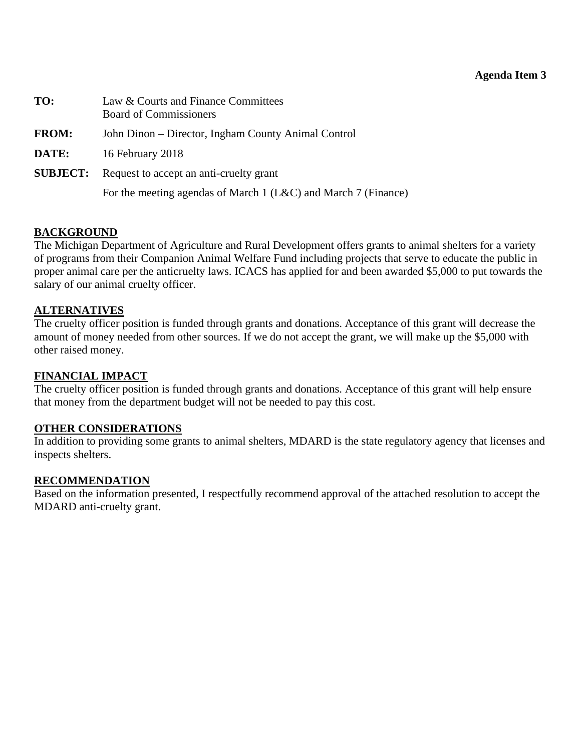<span id="page-19-0"></span>

| TO:             | Law & Courts and Finance Committees<br><b>Board of Commissioners</b> |
|-----------------|----------------------------------------------------------------------|
| <b>FROM:</b>    | John Dinon – Director, Ingham County Animal Control                  |
| DATE:           | 16 February 2018                                                     |
| <b>SUBJECT:</b> | Request to accept an anti-cruelty grant                              |
|                 | For the meeting agendas of March 1 (L&C) and March 7 (Finance)       |

# **BACKGROUND**

The Michigan Department of Agriculture and Rural Development offers grants to animal shelters for a variety of programs from their Companion Animal Welfare Fund including projects that serve to educate the public in proper animal care per the anticruelty laws. ICACS has applied for and been awarded \$5,000 to put towards the salary of our animal cruelty officer.

#### **ALTERNATIVES**

The cruelty officer position is funded through grants and donations. Acceptance of this grant will decrease the amount of money needed from other sources. If we do not accept the grant, we will make up the \$5,000 with other raised money.

# **FINANCIAL IMPACT**

The cruelty officer position is funded through grants and donations. Acceptance of this grant will help ensure that money from the department budget will not be needed to pay this cost.

#### **OTHER CONSIDERATIONS**

In addition to providing some grants to animal shelters, MDARD is the state regulatory agency that licenses and inspects shelters.

#### **RECOMMENDATION**

Based on the information presented, I respectfully recommend approval of the attached resolution to accept the MDARD anti-cruelty grant.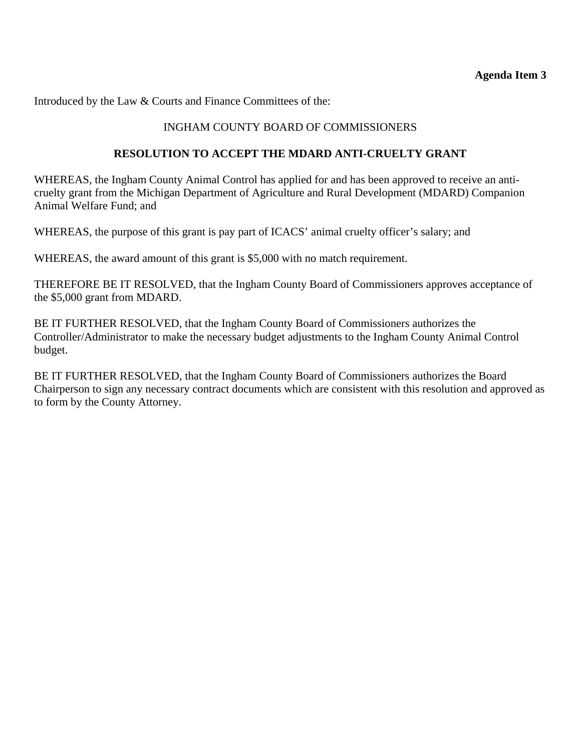Introduced by the Law & Courts and Finance Committees of the:

# INGHAM COUNTY BOARD OF COMMISSIONERS

### **RESOLUTION TO ACCEPT THE MDARD ANTI-CRUELTY GRANT**

WHEREAS, the Ingham County Animal Control has applied for and has been approved to receive an anticruelty grant from the Michigan Department of Agriculture and Rural Development (MDARD) Companion Animal Welfare Fund; and

WHEREAS, the purpose of this grant is pay part of ICACS' animal cruelty officer's salary; and

WHEREAS, the award amount of this grant is \$5,000 with no match requirement.

THEREFORE BE IT RESOLVED, that the Ingham County Board of Commissioners approves acceptance of the \$5,000 grant from MDARD.

BE IT FURTHER RESOLVED, that the Ingham County Board of Commissioners authorizes the Controller/Administrator to make the necessary budget adjustments to the Ingham County Animal Control budget.

BE IT FURTHER RESOLVED, that the Ingham County Board of Commissioners authorizes the Board Chairperson to sign any necessary contract documents which are consistent with this resolution and approved as to form by the County Attorney.